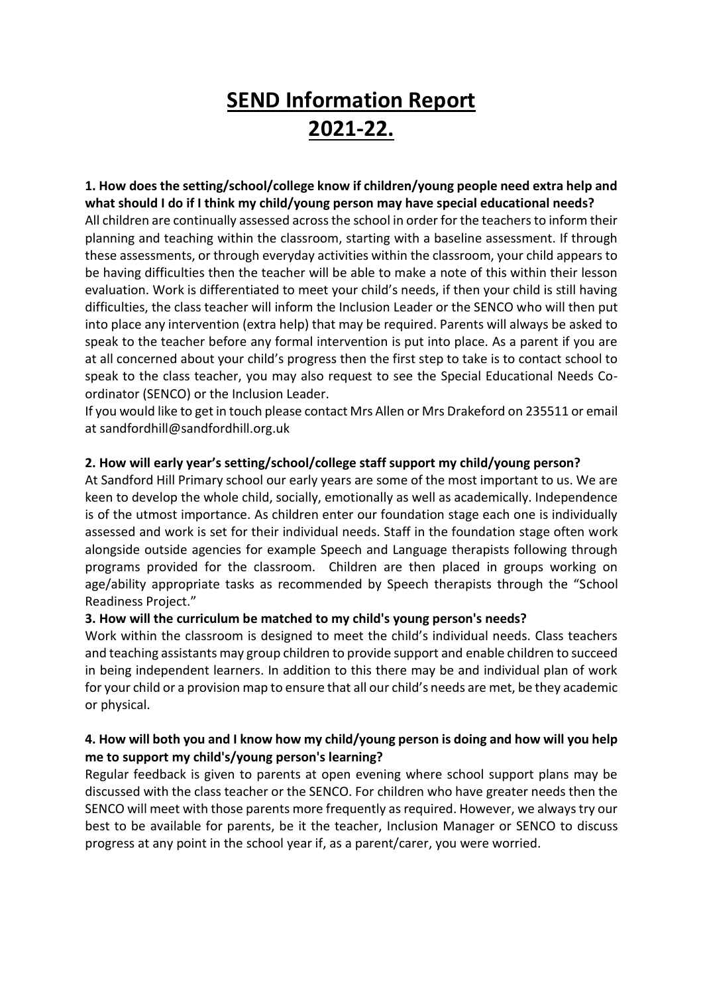# **SEND Information Report 2021-22.**

# **1. How does the setting/school/college know if children/young people need extra help and what should I do if I think my child/young person may have special educational needs?** All children are continually assessed across the school in order for the teachers to inform their planning and teaching within the classroom, starting with a baseline assessment. If through these assessments, or through everyday activities within the classroom, your child appears to be having difficulties then the teacher will be able to make a note of this within their lesson evaluation. Work is differentiated to meet your child's needs, if then your child is still having difficulties, the class teacher will inform the Inclusion Leader or the SENCO who will then put into place any intervention (extra help) that may be required. Parents will always be asked to speak to the teacher before any formal intervention is put into place. As a parent if you are at all concerned about your child's progress then the first step to take is to contact school to speak to the class teacher, you may also request to see the Special Educational Needs Coordinator (SENCO) or the Inclusion Leader.

If you would like to get in touch please contact Mrs Allen or Mrs Drakeford on 235511 or email at sandfordhill@sandfordhill.org.uk

# **2. How will early year's setting/school/college staff support my child/young person?**

At Sandford Hill Primary school our early years are some of the most important to us. We are keen to develop the whole child, socially, emotionally as well as academically. Independence is of the utmost importance. As children enter our foundation stage each one is individually assessed and work is set for their individual needs. Staff in the foundation stage often work alongside outside agencies for example Speech and Language therapists following through programs provided for the classroom. Children are then placed in groups working on age/ability appropriate tasks as recommended by Speech therapists through the "School Readiness Project."

#### **3. How will the curriculum be matched to my child's young person's needs?**

Work within the classroom is designed to meet the child's individual needs. Class teachers and teaching assistants may group children to provide support and enable children to succeed in being independent learners. In addition to this there may be and individual plan of work for your child or a provision map to ensure that all our child's needs are met, be they academic or physical.

#### **4. How will both you and I know how my child/young person is doing and how will you help me to support my child's/young person's learning?**

Regular feedback is given to parents at open evening where school support plans may be discussed with the class teacher or the SENCO. For children who have greater needs then the SENCO will meet with those parents more frequently as required. However, we always try our best to be available for parents, be it the teacher, Inclusion Manager or SENCO to discuss progress at any point in the school year if, as a parent/carer, you were worried.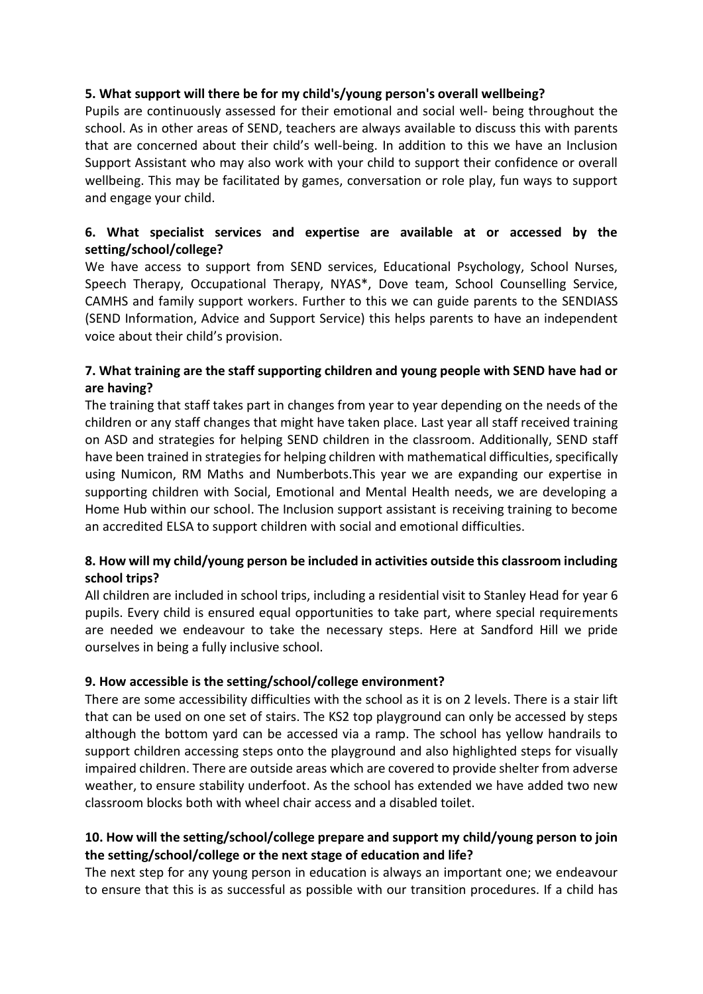#### **5. What support will there be for my child's/young person's overall wellbeing?**

Pupils are continuously assessed for their emotional and social well- being throughout the school. As in other areas of SEND, teachers are always available to discuss this with parents that are concerned about their child's well-being. In addition to this we have an Inclusion Support Assistant who may also work with your child to support their confidence or overall wellbeing. This may be facilitated by games, conversation or role play, fun ways to support and engage your child.

# **6. What specialist services and expertise are available at or accessed by the setting/school/college?**

We have access to support from SEND services, Educational Psychology, School Nurses, Speech Therapy, Occupational Therapy, NYAS\*, Dove team, School Counselling Service, CAMHS and family support workers. Further to this we can guide parents to the SENDIASS (SEND Information, Advice and Support Service) this helps parents to have an independent voice about their child's provision.

# **7. What training are the staff supporting children and young people with SEND have had or are having?**

The training that staff takes part in changes from year to year depending on the needs of the children or any staff changes that might have taken place. Last year all staff received training on ASD and strategies for helping SEND children in the classroom. Additionally, SEND staff have been trained in strategies for helping children with mathematical difficulties, specifically using Numicon, RM Maths and Numberbots.This year we are expanding our expertise in supporting children with Social, Emotional and Mental Health needs, we are developing a Home Hub within our school. The Inclusion support assistant is receiving training to become an accredited ELSA to support children with social and emotional difficulties.

# **8. How will my child/young person be included in activities outside this classroom including school trips?**

All children are included in school trips, including a residential visit to Stanley Head for year 6 pupils. Every child is ensured equal opportunities to take part, where special requirements are needed we endeavour to take the necessary steps. Here at Sandford Hill we pride ourselves in being a fully inclusive school.

#### **9. How accessible is the setting/school/college environment?**

There are some accessibility difficulties with the school as it is on 2 levels. There is a stair lift that can be used on one set of stairs. The KS2 top playground can only be accessed by steps although the bottom yard can be accessed via a ramp. The school has yellow handrails to support children accessing steps onto the playground and also highlighted steps for visually impaired children. There are outside areas which are covered to provide shelter from adverse weather, to ensure stability underfoot. As the school has extended we have added two new classroom blocks both with wheel chair access and a disabled toilet.

# **10. How will the setting/school/college prepare and support my child/young person to join the setting/school/college or the next stage of education and life?**

The next step for any young person in education is always an important one; we endeavour to ensure that this is as successful as possible with our transition procedures. If a child has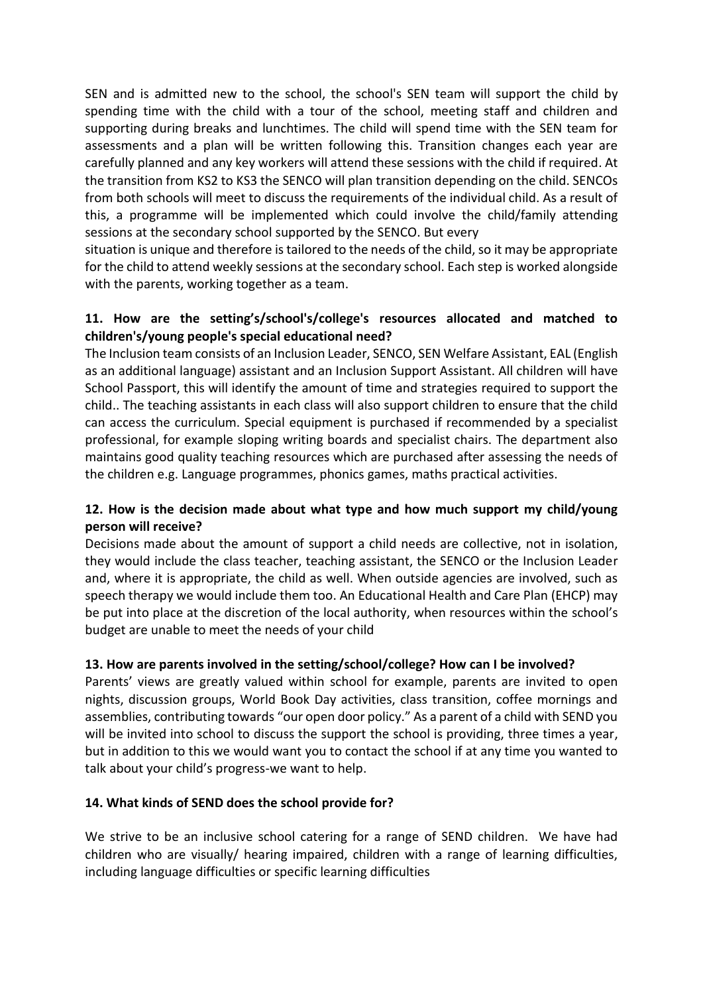SEN and is admitted new to the school, the school's SEN team will support the child by spending time with the child with a tour of the school, meeting staff and children and supporting during breaks and lunchtimes. The child will spend time with the SEN team for assessments and a plan will be written following this. Transition changes each year are carefully planned and any key workers will attend these sessions with the child if required. At the transition from KS2 to KS3 the SENCO will plan transition depending on the child. SENCOs from both schools will meet to discuss the requirements of the individual child. As a result of this, a programme will be implemented which could involve the child/family attending sessions at the secondary school supported by the SENCO. But every

situation is unique and therefore is tailored to the needs of the child, so it may be appropriate for the child to attend weekly sessions at the secondary school. Each step is worked alongside with the parents, working together as a team.

# **11. How are the setting's/school's/college's resources allocated and matched to children's/young people's special educational need?**

The Inclusion team consists of an Inclusion Leader, SENCO, SEN Welfare Assistant, EAL (English as an additional language) assistant and an Inclusion Support Assistant. All children will have School Passport, this will identify the amount of time and strategies required to support the child.. The teaching assistants in each class will also support children to ensure that the child can access the curriculum. Special equipment is purchased if recommended by a specialist professional, for example sloping writing boards and specialist chairs. The department also maintains good quality teaching resources which are purchased after assessing the needs of the children e.g. Language programmes, phonics games, maths practical activities.

# **12. How is the decision made about what type and how much support my child/young person will receive?**

Decisions made about the amount of support a child needs are collective, not in isolation, they would include the class teacher, teaching assistant, the SENCO or the Inclusion Leader and, where it is appropriate, the child as well. When outside agencies are involved, such as speech therapy we would include them too. An Educational Health and Care Plan (EHCP) may be put into place at the discretion of the local authority, when resources within the school's budget are unable to meet the needs of your child

#### **13. How are parents involved in the setting/school/college? How can I be involved?**

Parents' views are greatly valued within school for example, parents are invited to open nights, discussion groups, World Book Day activities, class transition, coffee mornings and assemblies, contributing towards "our open door policy." As a parent of a child with SEND you will be invited into school to discuss the support the school is providing, three times a year, but in addition to this we would want you to contact the school if at any time you wanted to talk about your child's progress-we want to help.

#### **14. What kinds of SEND does the school provide for?**

We strive to be an inclusive school catering for a range of SEND children. We have had children who are visually/ hearing impaired, children with a range of learning difficulties, including language difficulties or specific learning difficulties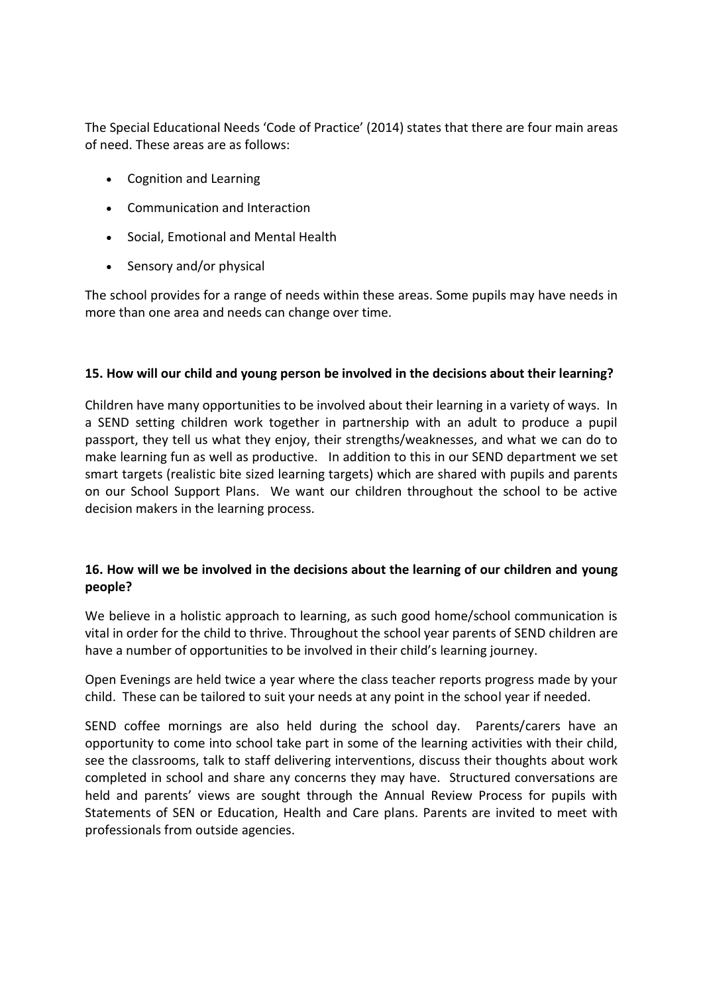The Special Educational Needs 'Code of Practice' (2014) states that there are four main areas of need. These areas are as follows:

- Cognition and Learning
- Communication and Interaction
- Social, Emotional and Mental Health
- Sensory and/or physical

The school provides for a range of needs within these areas. Some pupils may have needs in more than one area and needs can change over time.

#### **15. How will our child and young person be involved in the decisions about their learning?**

Children have many opportunities to be involved about their learning in a variety of ways. In a SEND setting children work together in partnership with an adult to produce a pupil passport, they tell us what they enjoy, their strengths/weaknesses, and what we can do to make learning fun as well as productive. In addition to this in our SEND department we set smart targets (realistic bite sized learning targets) which are shared with pupils and parents on our School Support Plans. We want our children throughout the school to be active decision makers in the learning process.

# **16. How will we be involved in the decisions about the learning of our children and young people?**

We believe in a holistic approach to learning, as such good home/school communication is vital in order for the child to thrive. Throughout the school year parents of SEND children are have a number of opportunities to be involved in their child's learning journey.

Open Evenings are held twice a year where the class teacher reports progress made by your child. These can be tailored to suit your needs at any point in the school year if needed.

SEND coffee mornings are also held during the school day. Parents/carers have an opportunity to come into school take part in some of the learning activities with their child, see the classrooms, talk to staff delivering interventions, discuss their thoughts about work completed in school and share any concerns they may have. Structured conversations are held and parents' views are sought through the Annual Review Process for pupils with Statements of SEN or Education, Health and Care plans. Parents are invited to meet with professionals from outside agencies.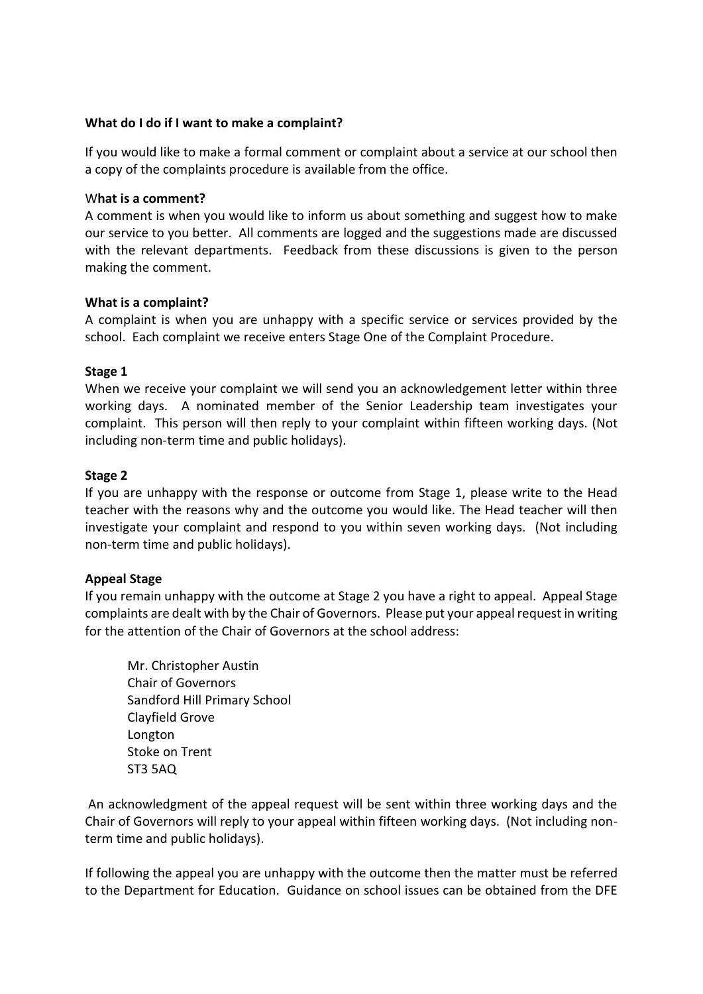#### **What do I do if I want to make a complaint?**

If you would like to make a formal comment or complaint about a service at our school then a copy of the complaints procedure is available from the office.

#### W**hat is a comment?**

A comment is when you would like to inform us about something and suggest how to make our service to you better. All comments are logged and the suggestions made are discussed with the relevant departments. Feedback from these discussions is given to the person making the comment.

#### **What is a complaint?**

A complaint is when you are unhappy with a specific service or services provided by the school. Each complaint we receive enters Stage One of the Complaint Procedure.

#### **Stage 1**

When we receive your complaint we will send you an acknowledgement letter within three working days. A nominated member of the Senior Leadership team investigates your complaint. This person will then reply to your complaint within fifteen working days. (Not including non-term time and public holidays).

#### **Stage 2**

If you are unhappy with the response or outcome from Stage 1, please write to the Head teacher with the reasons why and the outcome you would like. The Head teacher will then investigate your complaint and respond to you within seven working days. (Not including non-term time and public holidays).

#### **Appeal Stage**

If you remain unhappy with the outcome at Stage 2 you have a right to appeal. Appeal Stage complaints are dealt with by the Chair of Governors. Please put your appeal request in writing for the attention of the Chair of Governors at the school address:

Mr. Christopher Austin Chair of Governors Sandford Hill Primary School Clayfield Grove Longton Stoke on Trent ST3 5AQ

An acknowledgment of the appeal request will be sent within three working days and the Chair of Governors will reply to your appeal within fifteen working days. (Not including nonterm time and public holidays).

If following the appeal you are unhappy with the outcome then the matter must be referred to the Department for Education. Guidance on school issues can be obtained from the DFE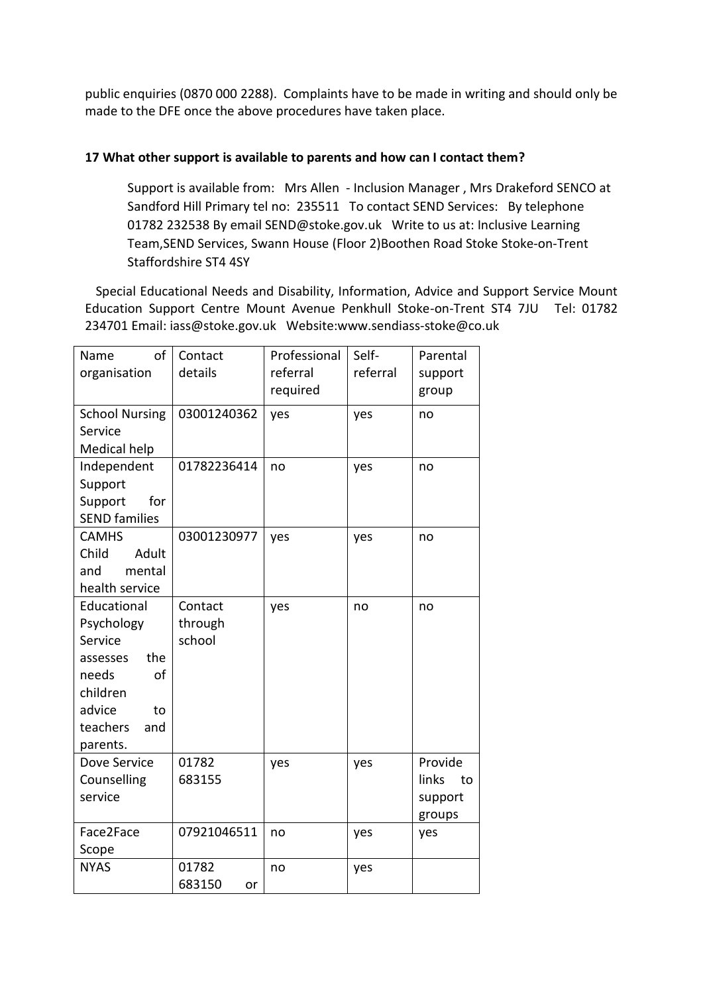public enquiries (0870 000 2288). Complaints have to be made in writing and should only be made to the DFE once the above procedures have taken place.

#### **17 What other support is available to parents and how can I contact them?**

Support is available from: Mrs Allen - Inclusion Manager , Mrs Drakeford SENCO at Sandford Hill Primary tel no: 235511 To contact SEND Services: By telephone 01782 232538 By email SEND@stoke.gov.uk Write to us at: Inclusive Learning Team,SEND Services, Swann House (Floor 2)Boothen Road Stoke Stoke-on-Trent Staffordshire ST4 4SY

Special Educational Needs and Disability, Information, Advice and Support Service Mount Education Support Centre Mount Avenue Penkhull Stoke-on-Trent ST4 7JU Tel: 01782 234701 Email: iass@stoke.gov.uk Website:www.sendiass-stoke@co.uk

| of<br>Name<br>organisation                                                                                                        | Contact<br>details           | Professional<br>referral<br>required | Self-<br>referral | Parental<br>support<br>group                |
|-----------------------------------------------------------------------------------------------------------------------------------|------------------------------|--------------------------------------|-------------------|---------------------------------------------|
| <b>School Nursing</b><br>Service<br>Medical help                                                                                  | 03001240362                  | yes                                  | yes               | no                                          |
| Independent<br>Support<br>Support<br>for<br><b>SEND families</b>                                                                  | 01782236414                  | no                                   | yes               | no                                          |
| <b>CAMHS</b><br>Child<br>Adult<br>mental<br>and<br>health service                                                                 | 03001230977                  | yes                                  | yes               | no                                          |
| Educational<br>Psychology<br>Service<br>the<br>assesses<br>needs<br>of<br>children<br>advice<br>to<br>teachers<br>and<br>parents. | Contact<br>through<br>school | yes                                  | no                | no                                          |
| Dove Service<br>Counselling<br>service                                                                                            | 01782<br>683155              | yes                                  | yes               | Provide<br>links<br>to<br>support<br>groups |
| Face2Face<br>Scope                                                                                                                | 07921046511                  | no                                   | yes               | yes                                         |
| <b>NYAS</b>                                                                                                                       | 01782<br>683150<br>or        | no                                   | yes               |                                             |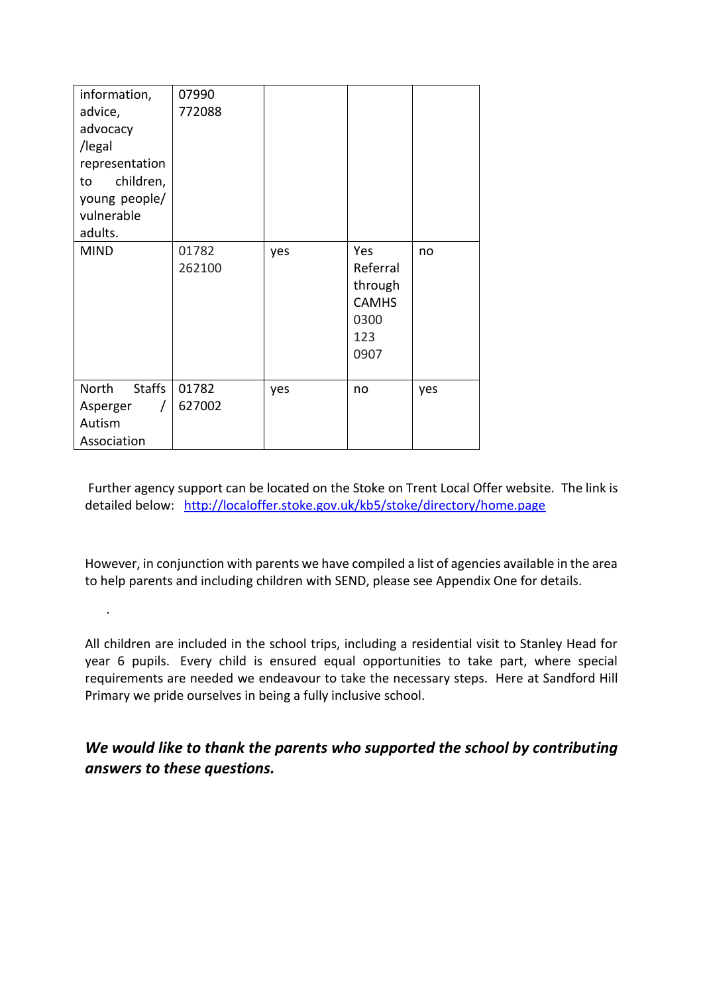| information,<br>advice,<br>advocacy<br>/legal<br>representation<br>children,<br>to<br>young people/<br>vulnerable<br>adults.<br><b>MIND</b> | 07990<br>772088<br>01782<br>262100 | yes | Yes<br>Referral<br>through<br><b>CAMHS</b> | no  |
|---------------------------------------------------------------------------------------------------------------------------------------------|------------------------------------|-----|--------------------------------------------|-----|
|                                                                                                                                             |                                    |     | 0300<br>123<br>0907                        |     |
| North<br><b>Staffs</b><br>Asperger<br>Autism<br>Association                                                                                 | 01782<br>627002                    | yes | no                                         | yes |

.

Further agency support can be located on the Stoke on Trent Local Offer website. The link is detailed below: <http://localoffer.stoke.gov.uk/kb5/stoke/directory/home.page>

However, in conjunction with parents we have compiled a list of agencies available in the area to help parents and including children with SEND, please see Appendix One for details.

All children are included in the school trips, including a residential visit to Stanley Head for year 6 pupils. Every child is ensured equal opportunities to take part, where special requirements are needed we endeavour to take the necessary steps. Here at Sandford Hill Primary we pride ourselves in being a fully inclusive school.

*We would like to thank the parents who supported the school by contributing answers to these questions.*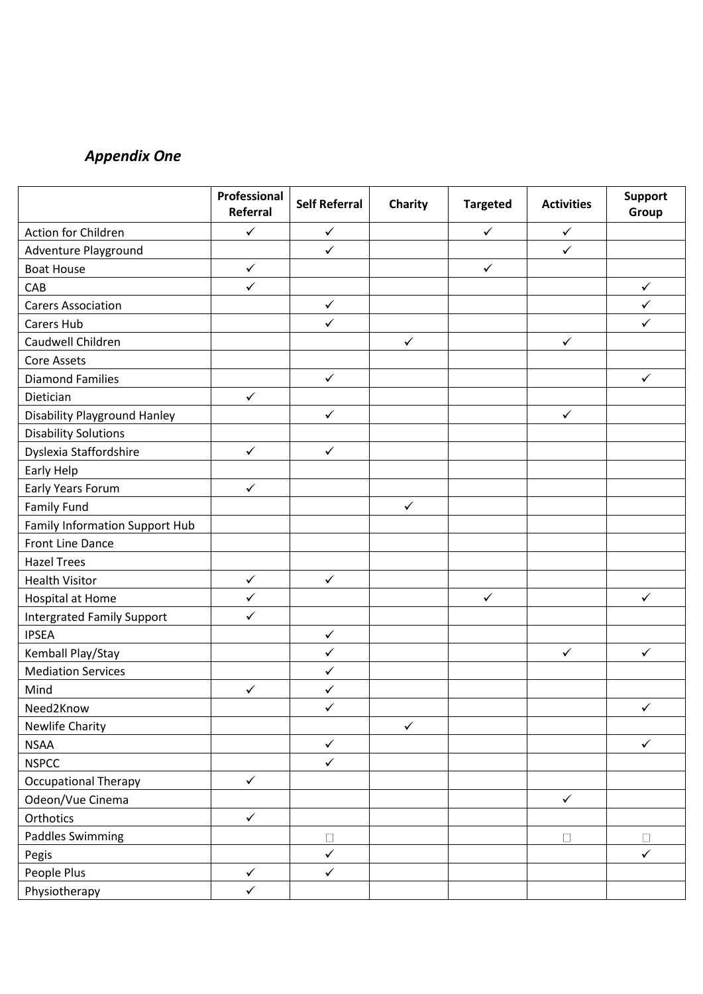# *Appendix One*

|                                       | Professional<br>Referral | <b>Self Referral</b> | Charity      | <b>Targeted</b> | <b>Activities</b> | <b>Support</b><br>Group |
|---------------------------------------|--------------------------|----------------------|--------------|-----------------|-------------------|-------------------------|
| Action for Children                   | $\checkmark$             | $\checkmark$         |              | $\checkmark$    | $\checkmark$      |                         |
| Adventure Playground                  |                          | $\checkmark$         |              |                 | $\checkmark$      |                         |
| <b>Boat House</b>                     | $\checkmark$             |                      |              | $\checkmark$    |                   |                         |
| CAB                                   | $\checkmark$             |                      |              |                 |                   | $\checkmark$            |
| <b>Carers Association</b>             |                          | $\checkmark$         |              |                 |                   | $\checkmark$            |
| Carers Hub                            |                          | $\checkmark$         |              |                 |                   | $\checkmark$            |
| Caudwell Children                     |                          |                      | $\checkmark$ |                 | $\checkmark$      |                         |
| Core Assets                           |                          |                      |              |                 |                   |                         |
| <b>Diamond Families</b>               |                          | $\checkmark$         |              |                 |                   | $\checkmark$            |
| Dietician                             | $\checkmark$             |                      |              |                 |                   |                         |
| <b>Disability Playground Hanley</b>   |                          | $\checkmark$         |              |                 | $\checkmark$      |                         |
| <b>Disability Solutions</b>           |                          |                      |              |                 |                   |                         |
| Dyslexia Staffordshire                | $\checkmark$             | $\checkmark$         |              |                 |                   |                         |
| Early Help                            |                          |                      |              |                 |                   |                         |
| Early Years Forum                     | $\checkmark$             |                      |              |                 |                   |                         |
| Family Fund                           |                          |                      | $\checkmark$ |                 |                   |                         |
| <b>Family Information Support Hub</b> |                          |                      |              |                 |                   |                         |
| Front Line Dance                      |                          |                      |              |                 |                   |                         |
| <b>Hazel Trees</b>                    |                          |                      |              |                 |                   |                         |
| <b>Health Visitor</b>                 | $\checkmark$             | $\checkmark$         |              |                 |                   |                         |
| Hospital at Home                      | $\checkmark$             |                      |              | $\checkmark$    |                   | $\checkmark$            |
| <b>Intergrated Family Support</b>     | $\checkmark$             |                      |              |                 |                   |                         |
| <b>IPSEA</b>                          |                          | $\checkmark$         |              |                 |                   |                         |
| Kemball Play/Stay                     |                          | $\checkmark$         |              |                 | $\checkmark$      | $\checkmark$            |
| <b>Mediation Services</b>             |                          | $\checkmark$         |              |                 |                   |                         |
| Mind                                  | $\checkmark$             | $\checkmark$         |              |                 |                   |                         |
| Need2Know                             |                          | $\checkmark$         |              |                 |                   | $\checkmark$            |
| <b>Newlife Charity</b>                |                          |                      | $\checkmark$ |                 |                   |                         |
| <b>NSAA</b>                           |                          | $\checkmark$         |              |                 |                   | $\checkmark$            |
| <b>NSPCC</b>                          |                          | $\checkmark$         |              |                 |                   |                         |
| <b>Occupational Therapy</b>           | $\checkmark$             |                      |              |                 |                   |                         |
| Odeon/Vue Cinema                      |                          |                      |              |                 | $\checkmark$      |                         |
| Orthotics                             | $\checkmark$             |                      |              |                 |                   |                         |
| <b>Paddles Swimming</b>               |                          | $\Box$               |              |                 | $\Box$            | $\Box$                  |
| Pegis                                 |                          | $\checkmark$         |              |                 |                   | $\checkmark$            |
| People Plus                           | $\checkmark$             | $\checkmark$         |              |                 |                   |                         |
| Physiotherapy                         | $\checkmark$             |                      |              |                 |                   |                         |